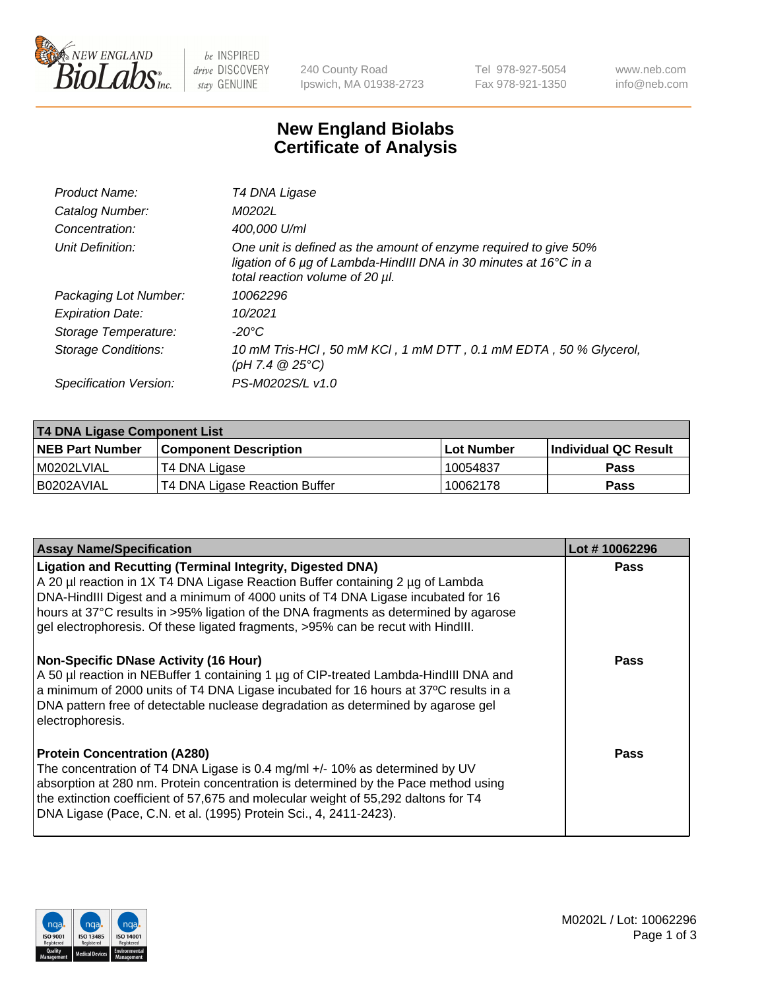

be INSPIRED drive DISCOVERY stay GENUINE

240 County Road Ipswich, MA 01938-2723 Tel 978-927-5054 Fax 978-921-1350 www.neb.com info@neb.com

## **New England Biolabs Certificate of Analysis**

| Product Name:              | T4 DNA Ligase                                                                                                                                                            |
|----------------------------|--------------------------------------------------------------------------------------------------------------------------------------------------------------------------|
| Catalog Number:            | M0202L                                                                                                                                                                   |
| Concentration:             | 400,000 U/ml                                                                                                                                                             |
| Unit Definition:           | One unit is defined as the amount of enzyme required to give 50%<br>ligation of 6 µg of Lambda-HindIII DNA in 30 minutes at 16°C in a<br>total reaction volume of 20 µl. |
| Packaging Lot Number:      | 10062296                                                                                                                                                                 |
| <b>Expiration Date:</b>    | 10/2021                                                                                                                                                                  |
| Storage Temperature:       | -20°C                                                                                                                                                                    |
| <b>Storage Conditions:</b> | 10 mM Tris-HCl, 50 mM KCl, 1 mM DTT, 0.1 mM EDTA, 50 % Glycerol,<br>(pH 7.4 $@25°C$ )                                                                                    |
| Specification Version:     | PS-M0202S/L v1.0                                                                                                                                                         |

| T4 DNA Ligase Component List |                               |              |                             |  |
|------------------------------|-------------------------------|--------------|-----------------------------|--|
| <b>NEB Part Number</b>       | <b>Component Description</b>  | l Lot Number | <b>Individual QC Result</b> |  |
| M0202LVIAL                   | T4 DNA Ligase                 | 10054837     | <b>Pass</b>                 |  |
| I B0202AVIAL                 | T4 DNA Ligase Reaction Buffer | 10062178     | <b>Pass</b>                 |  |

| <b>Assay Name/Specification</b>                                                                                                                                                                                                                                                                                                                                                                                    | Lot #10062296 |
|--------------------------------------------------------------------------------------------------------------------------------------------------------------------------------------------------------------------------------------------------------------------------------------------------------------------------------------------------------------------------------------------------------------------|---------------|
| <b>Ligation and Recutting (Terminal Integrity, Digested DNA)</b><br>A 20 µl reaction in 1X T4 DNA Ligase Reaction Buffer containing 2 µg of Lambda<br>DNA-HindIII Digest and a minimum of 4000 units of T4 DNA Ligase incubated for 16<br>hours at 37°C results in >95% ligation of the DNA fragments as determined by agarose<br>gel electrophoresis. Of these ligated fragments, >95% can be recut with HindIII. | <b>Pass</b>   |
| <b>Non-Specific DNase Activity (16 Hour)</b><br>A 50 µl reaction in NEBuffer 1 containing 1 µg of CIP-treated Lambda-HindIII DNA and<br>a minimum of 2000 units of T4 DNA Ligase incubated for 16 hours at 37°C results in a<br>DNA pattern free of detectable nuclease degradation as determined by agarose gel<br>electrophoresis.                                                                               | <b>Pass</b>   |
| <b>Protein Concentration (A280)</b><br>The concentration of T4 DNA Ligase is 0.4 mg/ml +/- 10% as determined by UV<br>absorption at 280 nm. Protein concentration is determined by the Pace method using<br>the extinction coefficient of 57,675 and molecular weight of 55,292 daltons for T4<br>DNA Ligase (Pace, C.N. et al. (1995) Protein Sci., 4, 2411-2423).                                                | Pass          |

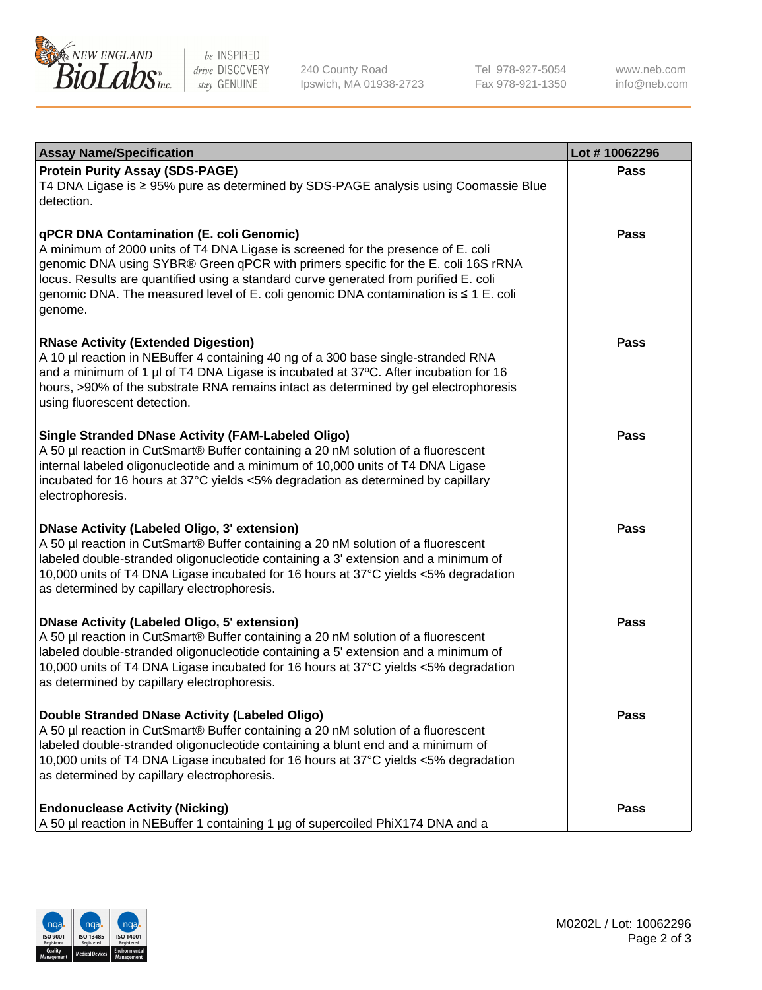

be INSPIRED drive DISCOVERY stay GENUINE

240 County Road Ipswich, MA 01938-2723 Tel 978-927-5054 Fax 978-921-1350

www.neb.com info@neb.com

| <b>Assay Name/Specification</b>                                                                                                                                                                                                                                                                                                                                                                             | Lot #10062296 |
|-------------------------------------------------------------------------------------------------------------------------------------------------------------------------------------------------------------------------------------------------------------------------------------------------------------------------------------------------------------------------------------------------------------|---------------|
| <b>Protein Purity Assay (SDS-PAGE)</b><br>T4 DNA Ligase is ≥ 95% pure as determined by SDS-PAGE analysis using Coomassie Blue<br>detection.                                                                                                                                                                                                                                                                 | Pass          |
| qPCR DNA Contamination (E. coli Genomic)<br>A minimum of 2000 units of T4 DNA Ligase is screened for the presence of E. coli<br>genomic DNA using SYBR® Green qPCR with primers specific for the E. coli 16S rRNA<br>locus. Results are quantified using a standard curve generated from purified E. coli<br>genomic DNA. The measured level of E. coli genomic DNA contamination is ≤ 1 E. coli<br>genome. | Pass          |
| <b>RNase Activity (Extended Digestion)</b><br>A 10 µl reaction in NEBuffer 4 containing 40 ng of a 300 base single-stranded RNA<br>and a minimum of 1 µl of T4 DNA Ligase is incubated at 37°C. After incubation for 16<br>hours, >90% of the substrate RNA remains intact as determined by gel electrophoresis<br>using fluorescent detection.                                                             | <b>Pass</b>   |
| <b>Single Stranded DNase Activity (FAM-Labeled Oligo)</b><br>A 50 µl reaction in CutSmart® Buffer containing a 20 nM solution of a fluorescent<br>internal labeled oligonucleotide and a minimum of 10,000 units of T4 DNA Ligase<br>incubated for 16 hours at 37°C yields <5% degradation as determined by capillary<br>electrophoresis.                                                                   | Pass          |
| <b>DNase Activity (Labeled Oligo, 3' extension)</b><br>A 50 µl reaction in CutSmart® Buffer containing a 20 nM solution of a fluorescent<br>labeled double-stranded oligonucleotide containing a 3' extension and a minimum of<br>10,000 units of T4 DNA Ligase incubated for 16 hours at 37°C yields <5% degradation<br>as determined by capillary electrophoresis.                                        | Pass          |
| <b>DNase Activity (Labeled Oligo, 5' extension)</b><br>A 50 µl reaction in CutSmart® Buffer containing a 20 nM solution of a fluorescent<br>labeled double-stranded oligonucleotide containing a 5' extension and a minimum of<br>10,000 units of T4 DNA Ligase incubated for 16 hours at 37°C yields <5% degradation<br>as determined by capillary electrophoresis.                                        | <b>Pass</b>   |
| Double Stranded DNase Activity (Labeled Oligo)<br>A 50 µl reaction in CutSmart® Buffer containing a 20 nM solution of a fluorescent<br>labeled double-stranded oligonucleotide containing a blunt end and a minimum of<br>10,000 units of T4 DNA Ligase incubated for 16 hours at 37°C yields <5% degradation<br>as determined by capillary electrophoresis.                                                | Pass          |
| <b>Endonuclease Activity (Nicking)</b><br>A 50 µl reaction in NEBuffer 1 containing 1 µg of supercoiled PhiX174 DNA and a                                                                                                                                                                                                                                                                                   | Pass          |